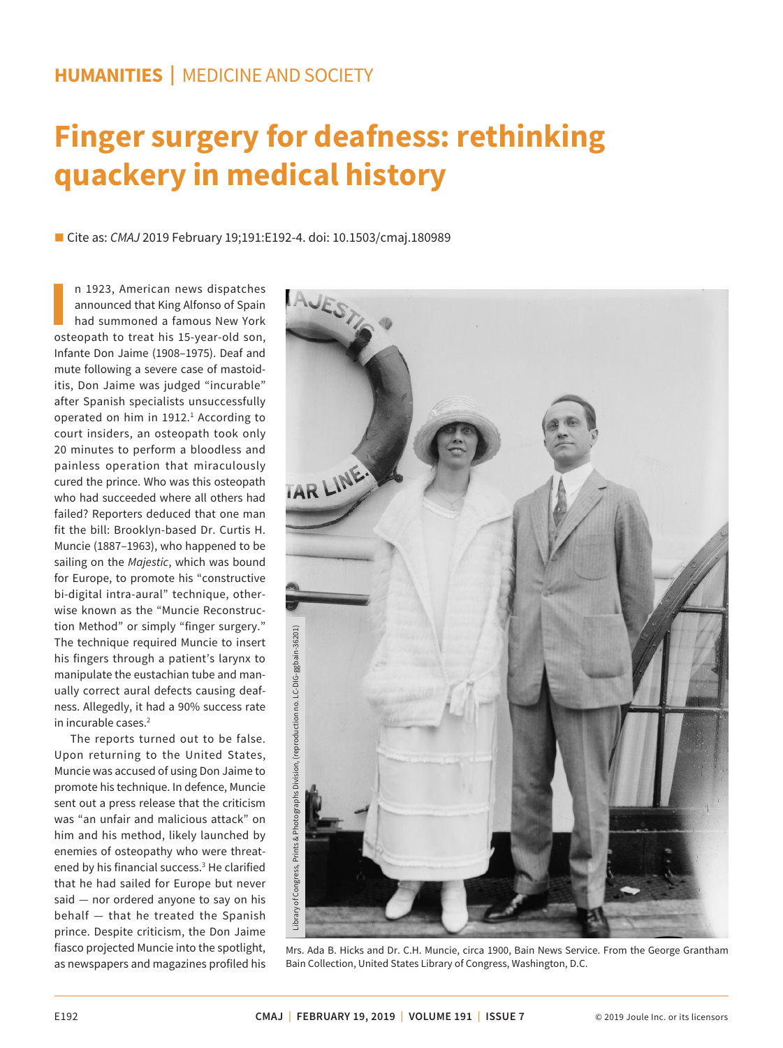## **HUMANITIES |** MEDICINE AND SOCIETY

## **Finger surgery for deafness: rethinking quackery in medical history**

■ Cite as: *CMAJ* 2019 February 19;191:E192-4. doi: 10.1503/cmaj.180989

**II** 1923, American news dispatches<br>
announced that King Alfonso of Spain<br>
had summoned a famous New York<br>
osteopath to treat his 15-year-old son, n 1923, American news dispatches announced that King Alfonso of Spain had summoned a famous New York Infante Don Jaime (1908–1975). Deaf and mute following a severe case of mastoiditis, Don Jaime was judged "incurable" after Spanish specialists unsuccessfully operated on him in 1912.<sup>1</sup> According to court insiders, an osteopath took only 20 minutes to perform a bloodless and painless operation that miraculously cured the prince. Who was this osteopath who had succeeded where all others had failed? Reporters deduced that one man fit the bill: Brooklyn-based Dr. Curtis H. Muncie (1887–1963), who happened to be sailing on the *Majestic*, which was bound for Europe, to promote his "constructive bi-digital intra-aural" technique, otherwise known as the "Muncie Reconstruction Method" or simply "finger surgery." The technique required Muncie to insert his fingers through a patient's larynx to manipulate the eustachian tube and manually correct aural defects causing deafness. Allegedly, it had a 90% success rate in incurable cases.2

The reports turned out to be false. Upon returning to the United States, Muncie was accused of using Don Jaime to promote his technique. In defence, Muncie sent out a press release that the criticism was "an unfair and malicious attack" on him and his method, likely launched by enemies of osteopathy who were threatened by his financial success.<sup>3</sup> He clarified that he had sailed for Europe but never said - nor ordered anyone to say on his  $b$ ehalf  $-$  that he treated the Spanish prince. Despite criticism, the Don Jaime fiasco projected Muncie into the spotlight, as newspapers and magazines profiled his



Mrs. Ada B. Hicks and Dr. C.H. Muncie, circa 1900, Bain News Service. From the George Grantham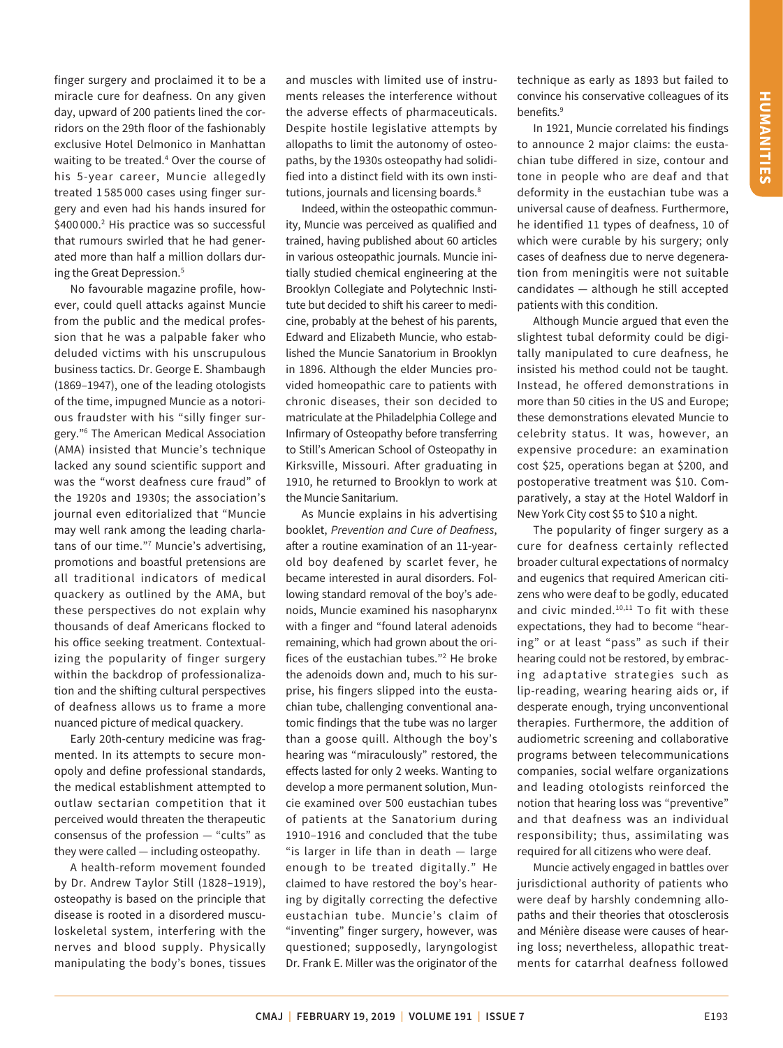finger surgery and proclaimed it to be a miracle cure for deafness. On any given day, upward of 200 patients lined the corridors on the 29th floor of the fashionably exclusive Hotel Delmonico in Manhattan waiting to be treated.4 Over the course of his 5-year career, Muncie allegedly treated 1 585 000 cases using finger surgery and even had his hands insured for \$400 000.<sup>2</sup> His practice was so successful that rumours swirled that he had generated more than half a million dollars during the Great Depression.5

No favourable magazine profile, however, could quell attacks against Muncie from the public and the medical profession that he was a palpable faker who deluded victims with his unscrupulous business tactics. Dr. George E. Shambaugh (1869–1947), one of the leading otologists of the time, impugned Muncie as a notorious fraudster with his "silly finger surgery."6 The American Medical Association (AMA) insisted that Muncie's technique lacked any sound scientific support and was the "worst deafness cure fraud" of the 1920s and 1930s; the association's journal even editorialized that "Muncie may well rank among the leading charlatans of our time."7 Muncie's advertising, promotions and boastful pretensions are all traditional indicators of medical quackery as outlined by the AMA, but these perspectives do not explain why thousands of deaf Americans flocked to his office seeking treatment. Contextualizing the popularity of finger surgery within the backdrop of professionalization and the shifting cultural perspectives of deafness allows us to frame a more nuanced picture of medical quackery.

Early 20th-century medicine was fragmented. In its attempts to secure monopoly and define professional standards, the medical establishment attempted to outlaw sectarian competition that it perceived would threaten the therapeutic consensus of the profession  $-$  "cults" as they were called — including osteopathy.

A health-reform movement founded by Dr. Andrew Taylor Still (1828–1919), osteopathy is based on the principle that disease is rooted in a disordered musculoskeletal system, interfering with the nerves and blood supply. Physically manipulating the body's bones, tissues

and muscles with limited use of instruments releases the interference without the adverse effects of pharmaceuticals. Despite hostile legislative attempts by allopaths to limit the autonomy of osteopaths, by the 1930s osteopathy had solidified into a distinct field with its own institutions, journals and licensing boards.<sup>8</sup>

Indeed, within the osteopathic community, Muncie was perceived as qualified and trained, having published about 60 articles in various osteopathic journals. Muncie initially studied chemical engineering at the Brooklyn Collegiate and Polytechnic Institute but decided to shift his career to medicine, probably at the behest of his parents, Edward and Elizabeth Muncie, who established the Muncie Sanatorium in Brooklyn in 1896. Although the elder Muncies provided homeopathic care to patients with chronic diseases, their son decided to matriculate at the Philadelphia College and Infirmary of Osteopathy before transferring to Still's American School of Osteopathy in Kirksville, Missouri. After graduating in 1910, he returned to Brooklyn to work at the Muncie Sanitarium.

As Muncie explains in his advertising booklet, *Prevention and Cure of Deafness*, after a routine examination of an 11-yearold boy deafened by scarlet fever, he became interested in aural disorders. Following standard removal of the boy's adenoids, Muncie examined his nasopharynx with a finger and "found lateral adenoids remaining, which had grown about the orifices of the eustachian tubes."2 He broke the adenoids down and, much to his surprise, his fingers slipped into the eustachian tube, challenging conventional anatomic findings that the tube was no larger than a goose quill. Although the boy's hearing was "miraculously" restored, the effects lasted for only 2 weeks. Wanting to develop a more permanent solution, Muncie examined over 500 eustachian tubes of patients at the Sanatorium during 1910–1916 and concluded that the tube "is larger in life than in death  $-$  large enough to be treated digitally." He claimed to have restored the boy's hearing by digitally correcting the defective eustachian tube. Muncie's claim of "inventing" finger surgery, however, was questioned; supposedly, laryngologist Dr. Frank E. Miller was the originator of the

technique as early as 1893 but failed to convince his conservative colleagues of its benefits.<sup>9</sup>

In 1921, Muncie correlated his findings to announce 2 major claims: the eustachian tube differed in size, contour and tone in people who are deaf and that deformity in the eustachian tube was a universal cause of deafness. Furthermore, he identified 11 types of deafness, 10 of which were curable by his surgery; only cases of deafness due to nerve degeneration from meningitis were not suitable candidates — although he still accepted patients with this condition.

Although Muncie argued that even the slightest tubal deformity could be digitally manipulated to cure deafness, he insisted his method could not be taught. Instead, he offered demonstrations in more than 50 cities in the US and Europe; these demonstrations elevated Muncie to celebrity status. It was, however, an expensive procedure: an examination cost \$25, operations began at \$200, and postoperative treatment was \$10. Comparatively, a stay at the Hotel Waldorf in New York City cost \$5 to \$10 a night.

The popularity of finger surgery as a cure for deafness certainly reflected broader cultural expectations of normalcy and eugenics that required American citizens who were deaf to be godly, educated and civic minded.10,11 To fit with these expectations, they had to become "hearing" or at least "pass" as such if their hearing could not be restored, by embracing adaptative strategies such as lip-reading, wearing hearing aids or, if desperate enough, trying unconventional therapies. Furthermore, the addition of audiometric screening and collaborative programs between telecommunications companies, social welfare organizations and leading otologists reinforced the notion that hearing loss was "preventive" and that deafness was an individual responsibility; thus, assimilating was required for all citizens who were deaf.

Muncie actively engaged in battles over jurisdictional authority of patients who were deaf by harshly condemning allopaths and their theories that otosclerosis and Ménière disease were causes of hearing loss; nevertheless, allopathic treatments for catarrhal deafness followed